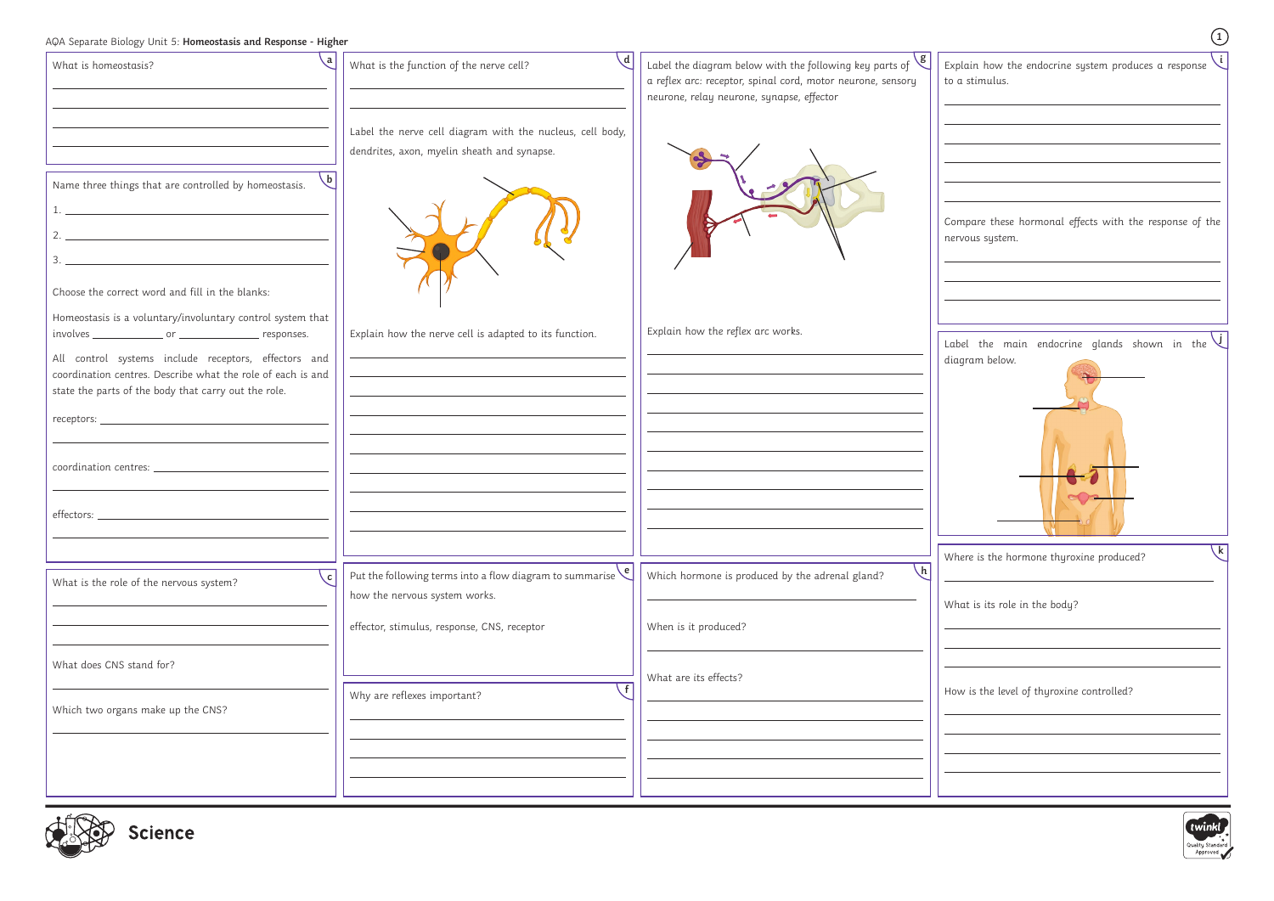| AQA Separate Biology Unit 5: Homeostasis and Response - Higher |                                                                                                 |                                                                                                          |                                                                     |
|----------------------------------------------------------------|-------------------------------------------------------------------------------------------------|----------------------------------------------------------------------------------------------------------|---------------------------------------------------------------------|
| What is homeostasis?                                           | What is the function of the nerve cell?                                                         | Label the diagram below with the following key parts of $\setminus$                                      | Explain how the endocrine system produces a response                |
|                                                                |                                                                                                 | a reflex arc: receptor, spinal cord, motor neurone, sensory<br>neurone, relay neurone, synapse, effector | to a stimulus.                                                      |
|                                                                |                                                                                                 |                                                                                                          |                                                                     |
|                                                                | Label the nerve cell diagram with the nucleus, cell body,                                       |                                                                                                          |                                                                     |
|                                                                | dendrites, axon, myelin sheath and synapse.                                                     |                                                                                                          |                                                                     |
|                                                                |                                                                                                 |                                                                                                          |                                                                     |
| Name three things that are controlled by homeostasis.          |                                                                                                 |                                                                                                          |                                                                     |
|                                                                |                                                                                                 |                                                                                                          |                                                                     |
|                                                                |                                                                                                 |                                                                                                          | Compare these hormonal effects with the response of the             |
|                                                                |                                                                                                 |                                                                                                          | nervous system.                                                     |
|                                                                |                                                                                                 |                                                                                                          |                                                                     |
|                                                                |                                                                                                 |                                                                                                          |                                                                     |
| Choose the correct word and fill in the blanks:                |                                                                                                 |                                                                                                          |                                                                     |
| Homeostasis is a voluntary/involuntary control system that     |                                                                                                 |                                                                                                          |                                                                     |
|                                                                | Explain how the nerve cell is adapted to its function.                                          | Explain how the reflex arc works.                                                                        | Label the main endocrine glands shown in the $\vee$                 |
| All control systems include receptors, effectors and           |                                                                                                 |                                                                                                          | diagram below.                                                      |
| coordination centres. Describe what the role of each is and    |                                                                                                 |                                                                                                          |                                                                     |
| state the parts of the body that carry out the role.           |                                                                                                 |                                                                                                          |                                                                     |
|                                                                |                                                                                                 |                                                                                                          |                                                                     |
|                                                                |                                                                                                 |                                                                                                          |                                                                     |
|                                                                |                                                                                                 |                                                                                                          |                                                                     |
|                                                                |                                                                                                 |                                                                                                          |                                                                     |
|                                                                |                                                                                                 |                                                                                                          |                                                                     |
| effectors:                                                     |                                                                                                 |                                                                                                          |                                                                     |
|                                                                |                                                                                                 |                                                                                                          |                                                                     |
|                                                                |                                                                                                 |                                                                                                          | $\overline{\mathsf{k}}$<br>Where is the hormone thyroxine produced? |
| $\mathbf{c}$<br>What is the role of the nervous system?        | Put the following terms into a flow diagram to summarise $\left\langle \mathbf{e}\right\rangle$ | $\setminus$ h $ $<br>Which hormone is produced by the adrenal gland?                                     |                                                                     |
|                                                                | how the nervous system works.                                                                   |                                                                                                          |                                                                     |
|                                                                |                                                                                                 |                                                                                                          | What is its role in the body?                                       |
|                                                                | effector, stimulus, response, CNS, receptor                                                     | When is it produced?                                                                                     |                                                                     |
|                                                                |                                                                                                 |                                                                                                          |                                                                     |
| What does CNS stand for?                                       |                                                                                                 | What are its effects?                                                                                    |                                                                     |
|                                                                | Why are reflexes important?                                                                     |                                                                                                          | How is the level of thyroxine controlled?                           |
| Which two organs make up the CNS?                              |                                                                                                 |                                                                                                          |                                                                     |
|                                                                |                                                                                                 |                                                                                                          |                                                                     |
|                                                                |                                                                                                 |                                                                                                          |                                                                     |
|                                                                |                                                                                                 |                                                                                                          |                                                                     |
|                                                                |                                                                                                 |                                                                                                          |                                                                     |
| AIRA                                                           |                                                                                                 |                                                                                                          | <b>Adults</b>                                                       |



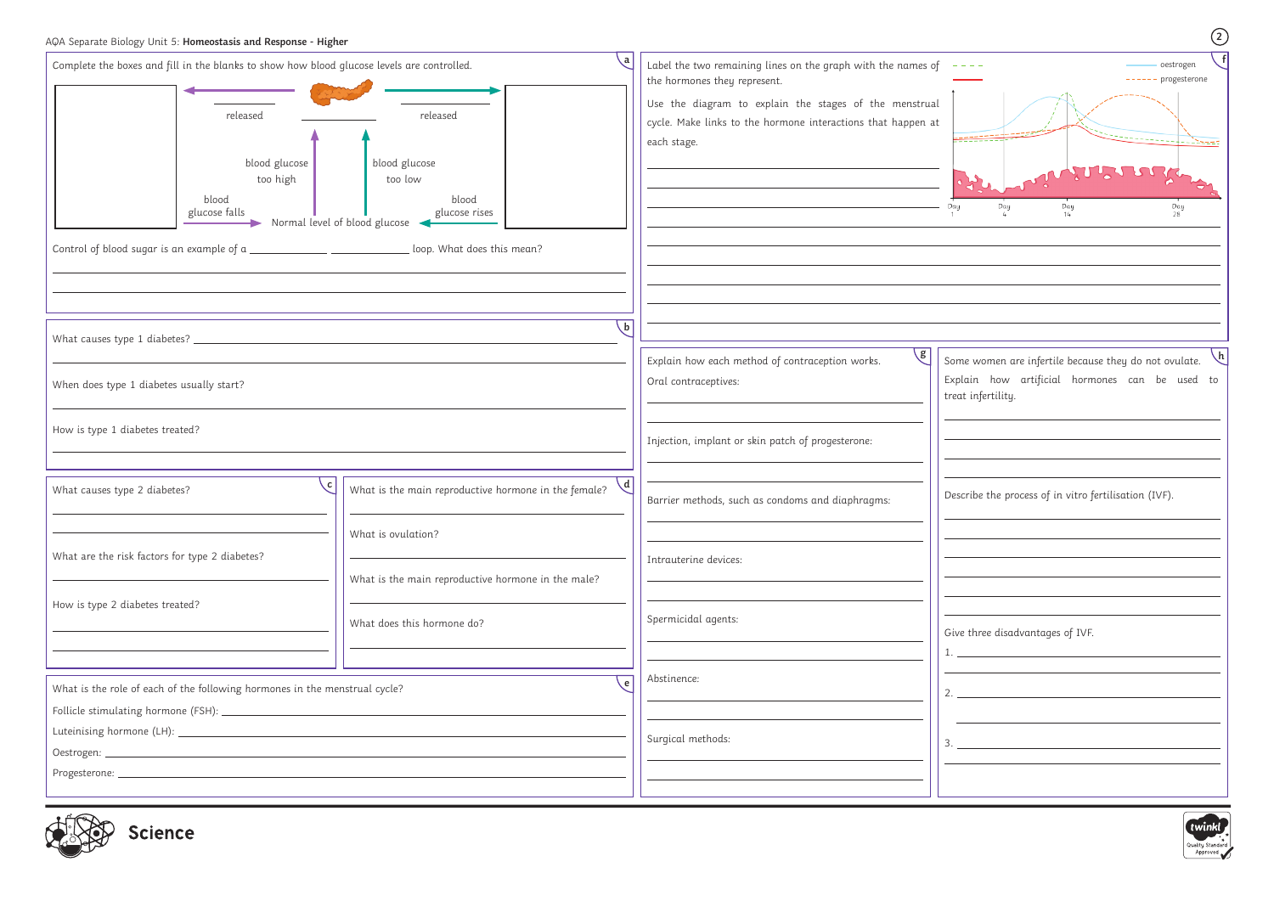| AQA Separate Biology Unit 5: Homeostasis and Response - Higher                                                                                                                                                                                                                                                                                                             |                                                                      |                                                                                                                                                                                                                                                 | $\left( 2\right)$                                                                                                             |
|----------------------------------------------------------------------------------------------------------------------------------------------------------------------------------------------------------------------------------------------------------------------------------------------------------------------------------------------------------------------------|----------------------------------------------------------------------|-------------------------------------------------------------------------------------------------------------------------------------------------------------------------------------------------------------------------------------------------|-------------------------------------------------------------------------------------------------------------------------------|
| Complete the boxes and fill in the blanks to show how blood glucose levels are controlled.<br>released<br>released<br>blood glucose<br>blood glucose<br>too low<br>too high<br>blood<br>blood<br>glucose falls<br>glucose rises<br>Normal level of blood glucose<br>Control of blood sugar is an example of a _________________________________ loop. What does this mean? |                                                                      | Label the two remaining lines on the graph with the names of $-$ - - -<br>the hormones they represent.<br>Use the diagram to explain the stages of the menstrual<br>cycle. Make links to the hormone interactions that happen at<br>each stage. | oestrogen<br>------ progesterone<br>oye<br>Day<br>Day                                                                         |
|                                                                                                                                                                                                                                                                                                                                                                            | $\mathbf{b}$                                                         |                                                                                                                                                                                                                                                 |                                                                                                                               |
| When does type 1 diabetes usually start?                                                                                                                                                                                                                                                                                                                                   |                                                                      | Explain how each method of contraception works.<br>Oral contraceptives:                                                                                                                                                                         | Some women are infertile because they do not ovulate.<br>Explain how artificial hormones can be used to<br>treat infertility. |
| How is type 1 diabetes treated?                                                                                                                                                                                                                                                                                                                                            |                                                                      | Injection, implant or skin patch of progesterone:                                                                                                                                                                                               |                                                                                                                               |
| What causes type 2 diabetes?                                                                                                                                                                                                                                                                                                                                               | $\mathbf{d}$<br>What is the main reproductive hormone in the female? | Barrier methods, such as condoms and diaphragms:                                                                                                                                                                                                | Describe the process of in vitro fertilisation (IVF).                                                                         |
| What are the risk factors for type 2 diabetes?                                                                                                                                                                                                                                                                                                                             | What is ovulation?                                                   |                                                                                                                                                                                                                                                 |                                                                                                                               |
|                                                                                                                                                                                                                                                                                                                                                                            | What is the main reproductive hormone in the male?                   |                                                                                                                                                                                                                                                 |                                                                                                                               |
| How is type 2 diabetes treated?                                                                                                                                                                                                                                                                                                                                            | What does this hormone do?                                           | Spermicidal agents:                                                                                                                                                                                                                             | Give three disadvantages of IVF.                                                                                              |
|                                                                                                                                                                                                                                                                                                                                                                            |                                                                      | Abstinence:                                                                                                                                                                                                                                     |                                                                                                                               |
| What is the role of each of the following hormones in the menstrual cycle?                                                                                                                                                                                                                                                                                                 |                                                                      |                                                                                                                                                                                                                                                 |                                                                                                                               |
|                                                                                                                                                                                                                                                                                                                                                                            |                                                                      | Surgical methods:                                                                                                                                                                                                                               |                                                                                                                               |
|                                                                                                                                                                                                                                                                                                                                                                            |                                                                      |                                                                                                                                                                                                                                                 |                                                                                                                               |



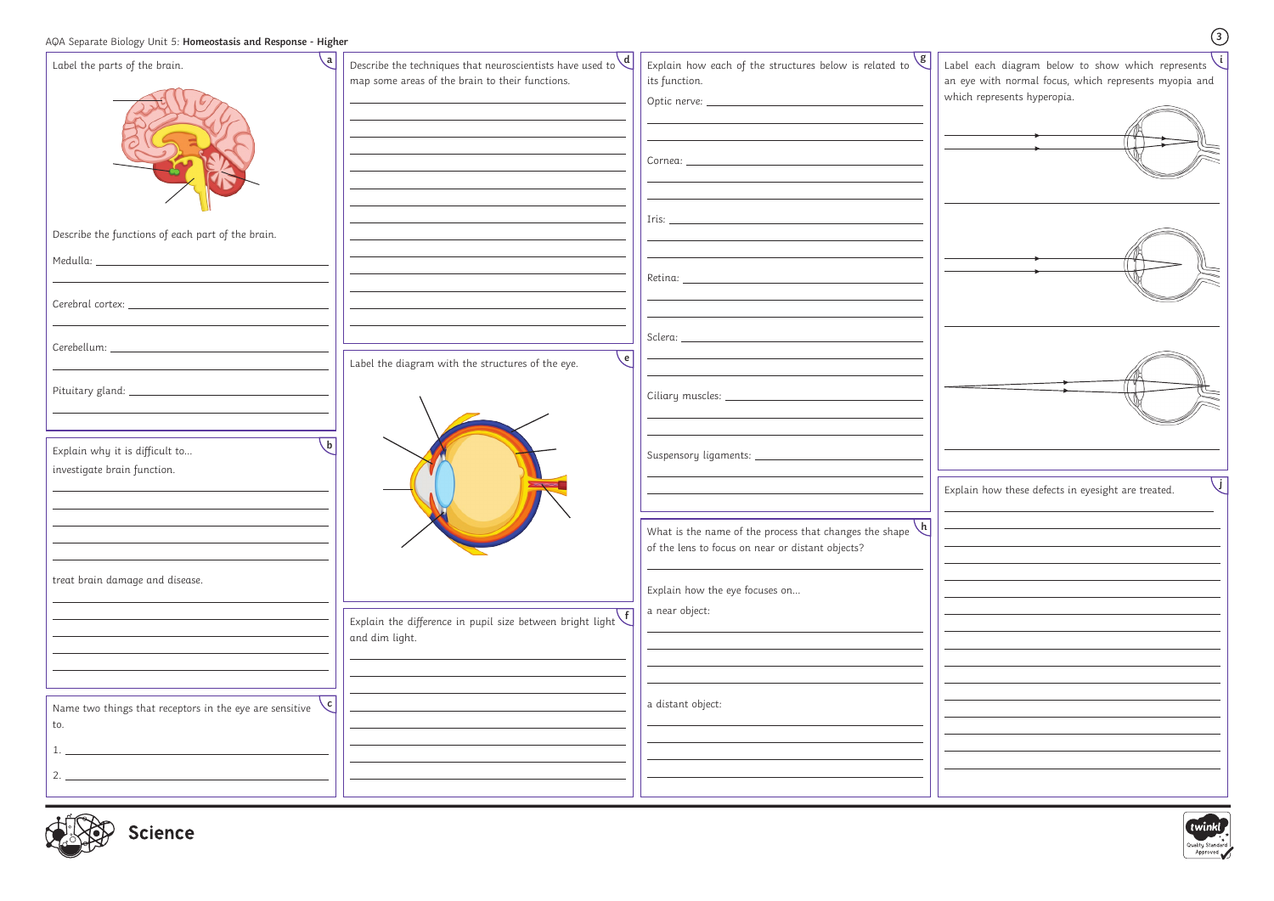



| $\mathbf{a}$<br>Label the parts of the brain.                                | Describe the techniques that neuroscientists have used to $\bigcup d$<br>map some areas of the brain to their functions. | $\mathcal{E}$<br>Explain how each of the structures below is related to<br>Lab<br>its function.<br>an<br>wh            |
|------------------------------------------------------------------------------|--------------------------------------------------------------------------------------------------------------------------|------------------------------------------------------------------------------------------------------------------------|
| Describe the functions of each part of the brain.                            |                                                                                                                          |                                                                                                                        |
|                                                                              |                                                                                                                          |                                                                                                                        |
|                                                                              |                                                                                                                          |                                                                                                                        |
|                                                                              | $\epsilon$<br>Label the diagram with the structures of the eye.                                                          |                                                                                                                        |
|                                                                              |                                                                                                                          |                                                                                                                        |
| $\mathbf b$<br>Explain why it is difficult to<br>investigate brain function. |                                                                                                                          | Exp                                                                                                                    |
|                                                                              |                                                                                                                          | What is the name of the process that changes the shape $\boxed{h}$<br>of the lens to focus on near or distant objects? |
| treat brain damage and disease.                                              | $\sqrt{f}$<br>Explain the difference in pupil size between bright light<br>and dim light.                                | Explain how the eye focuses on<br>a near object:                                                                       |
|                                                                              |                                                                                                                          |                                                                                                                        |
| Name two things that receptors in the eye are sensitive<br>to.               |                                                                                                                          | a distant object:                                                                                                      |
|                                                                              |                                                                                                                          |                                                                                                                        |
|                                                                              |                                                                                                                          |                                                                                                                        |

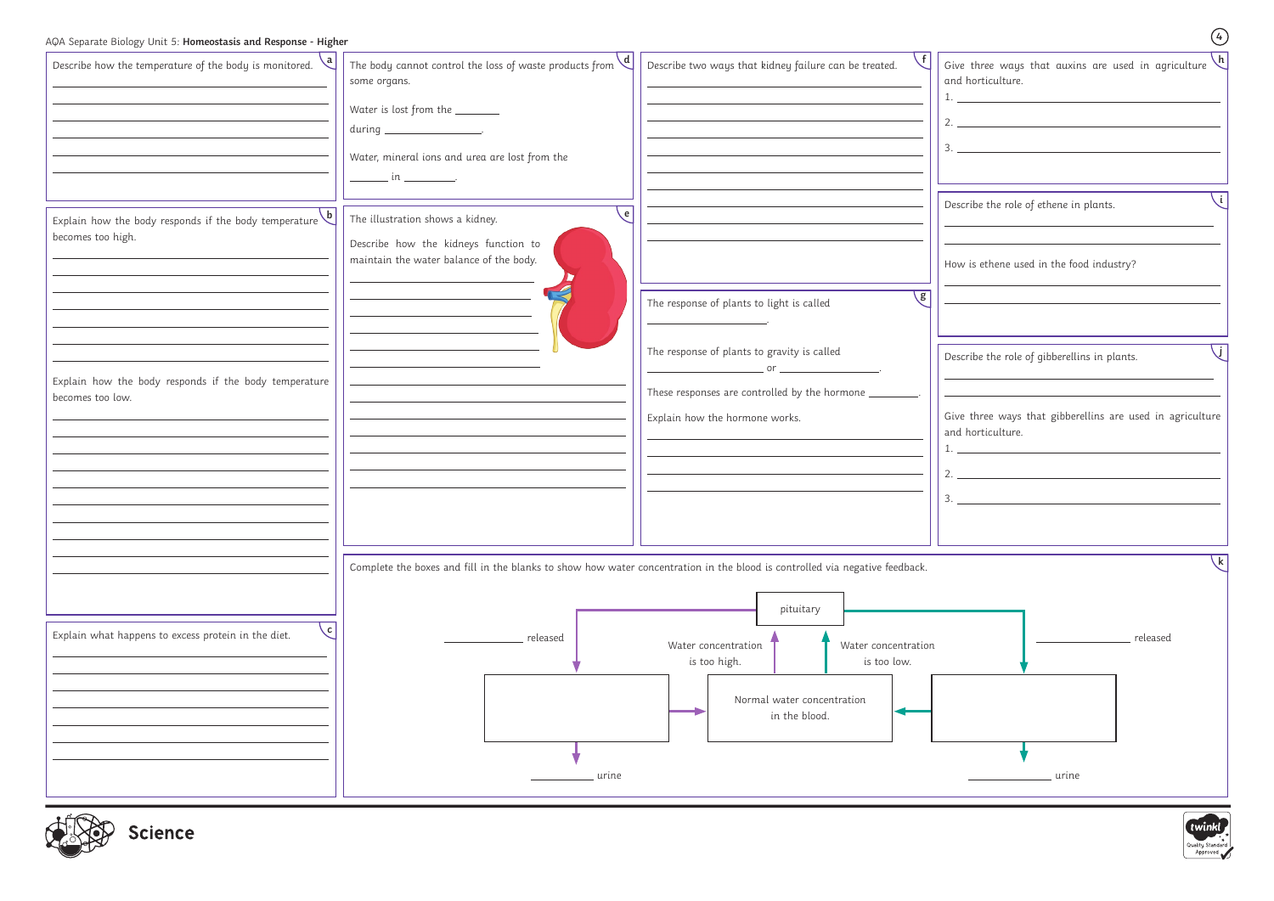| AQA Separate Biology Unit 5: Homeostasis and Response - Higher                         |                                                                                                                                                                                                                                                                                                                                                                                                                                                                                                                                                                                                                                                                                    |                                                                                                                                                                                        | (4)                                                                                                                                  |
|----------------------------------------------------------------------------------------|------------------------------------------------------------------------------------------------------------------------------------------------------------------------------------------------------------------------------------------------------------------------------------------------------------------------------------------------------------------------------------------------------------------------------------------------------------------------------------------------------------------------------------------------------------------------------------------------------------------------------------------------------------------------------------|----------------------------------------------------------------------------------------------------------------------------------------------------------------------------------------|--------------------------------------------------------------------------------------------------------------------------------------|
| Describe how the temperature of the body is monitored. $\mathcal{A}$                   | The body cannot control the loss of waste products from $\mathcal{A}$<br>some organs.<br>Water is lost from the <b>_______</b><br>$during \_\_\_\_\_\_\_\_\_\_\_\_\_\_\_\_ \,.$<br>Water, mineral ions and urea are lost from the<br>$\frac{1}{\sqrt{1-\frac{1}{2}}}\cdot\frac{1}{\sqrt{1-\frac{1}{2}}}\cdot\frac{1}{\sqrt{1-\frac{1}{2}}}\cdot\frac{1}{\sqrt{1-\frac{1}{2}}}\cdot\frac{1}{\sqrt{1-\frac{1}{2}}}\cdot\frac{1}{\sqrt{1-\frac{1}{2}}}\cdot\frac{1}{\sqrt{1-\frac{1}{2}}}\cdot\frac{1}{\sqrt{1-\frac{1}{2}}}\cdot\frac{1}{\sqrt{1-\frac{1}{2}}}\cdot\frac{1}{\sqrt{1-\frac{1}{2}}}\cdot\frac{1}{\sqrt{1-\frac{1}{2}}}\cdot\frac{1}{\sqrt{1-\frac{1}{2}}}\cdot\frac{1$ | Describe two ways that kidney failure can be treated.                                                                                                                                  | Give three ways that auxins are used in agriculture $\mathcal{A}$<br>and horticulture.                                               |
| Explain how the body responds if the body temperature $\mathbf b$<br>becomes too high. | e<br>The illustration shows a kidney.<br>Describe how the kidneys function to<br>maintain the water balance of the body.                                                                                                                                                                                                                                                                                                                                                                                                                                                                                                                                                           | g<br>The response of plants to light is called                                                                                                                                         | Describe the role of ethene in plants.<br>How is ethene used in the food industry?                                                   |
| Explain how the body responds if the body temperature<br>becomes too low.              |                                                                                                                                                                                                                                                                                                                                                                                                                                                                                                                                                                                                                                                                                    | The response of plants to gravity is called<br>These responses are controlled by the hormone __<br>Explain how the hormone works.                                                      | Describe the role of gibberellins in plants.<br>Give three ways that gibberellins are used in agriculture<br>and horticulture.<br>3. |
| 、c  <br>Explain what happens to excess protein in the diet.                            | released                                                                                                                                                                                                                                                                                                                                                                                                                                                                                                                                                                                                                                                                           | Complete the boxes and fill in the blanks to show how water concentration in the blood is controlled via negative feedback.<br>pituitary<br>Water concentration<br>Water concentration | k<br>released                                                                                                                        |
|                                                                                        | urine                                                                                                                                                                                                                                                                                                                                                                                                                                                                                                                                                                                                                                                                              | is too high.<br>is too low.<br>Normal water concentration<br>in the blood.                                                                                                             | urine                                                                                                                                |
| $\triangle^{n}$ $\otimes$                                                              |                                                                                                                                                                                                                                                                                                                                                                                                                                                                                                                                                                                                                                                                                    |                                                                                                                                                                                        | twinkl                                                                                                                               |



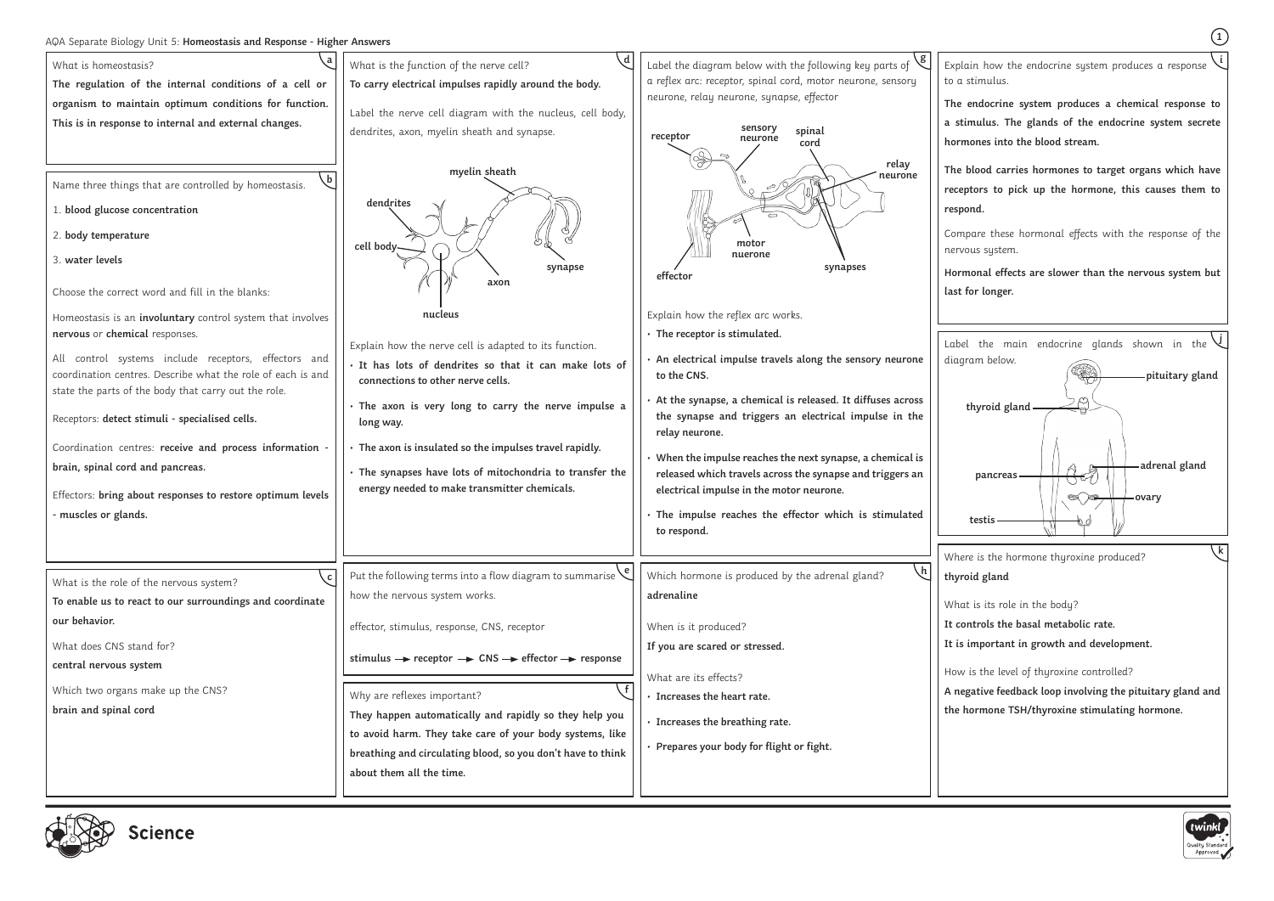- Explain how the endocrine system produces a response to a stimulus. **i**
- **The endocrine system produces a chemical response to a stimulus. The glands of the endocrine system secrete hormones into the blood stream.**
- **The blood carries hormones to target organs which have receptors to pick up the hormone, this causes them to respond.**
- Compare these hormonal effects with the response of the nervous system.
- **Hormonal effects are slower than the nervous system but last for longer.**





**k**

| Label the main endocrine glands shown in the |  |               |                  |
|----------------------------------------------|--|---------------|------------------|
| diagram below.                               |  |               | -pituitary gland |
| thyroid gland -                              |  |               |                  |
| pancreas                                     |  | adrenal gland |                  |
| testis                                       |  | ovary         |                  |

Where is the hormone thyroxine produced? **thyroid gland**

- What is its role in the body?
- **It controls the basal metabolic rate.**
- **It is important in growth and development.**
- How is the level of thyroxine controlled?
- **A negative feedback loop involving the pituitary gland and the hormone TSH/thyroxine stimulating hormone.**

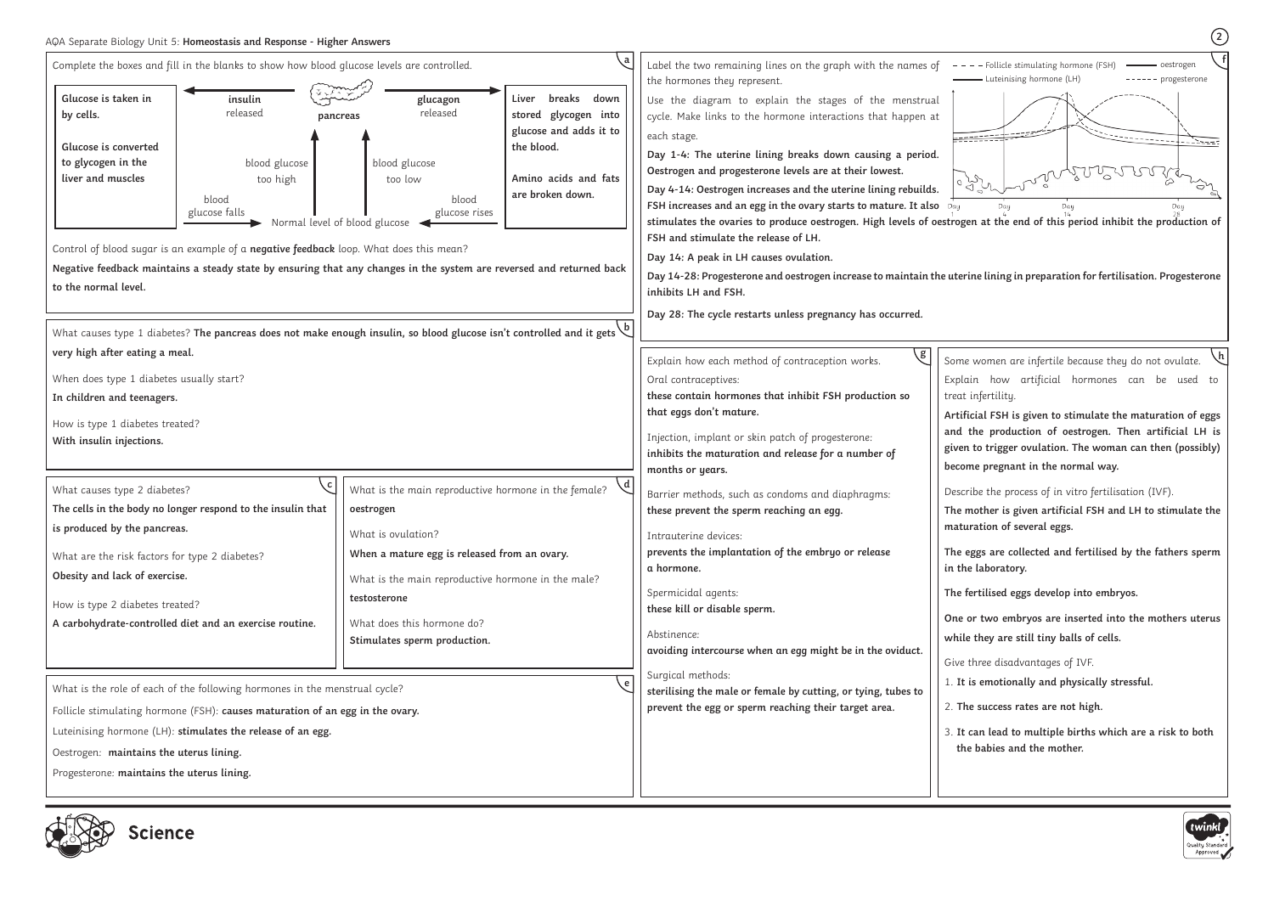**The eggs are collected and fertilised by the fathers sperm he laboratory.** 

**Day 14-28: Progesterone and oestrogen increase to maintain the uterine lining in preparation for fertilisation. Progesterone** 

**g** Some women are infertile because they do not ovulate. lain how artificial hormones can be used to t infertility.

|                                                                                                                                                                                    | Complete the boxes and fill in the blanks to show how blood glucose levels are controlled.                                                                                                                                 |                                                                                                                                                                                                                                                                             | a                                                                                                                                   | Label the two remaining lines on the graph with the names of                                                                                                                                                                                                                                                                                                                                                                                                                                                 |
|------------------------------------------------------------------------------------------------------------------------------------------------------------------------------------|----------------------------------------------------------------------------------------------------------------------------------------------------------------------------------------------------------------------------|-----------------------------------------------------------------------------------------------------------------------------------------------------------------------------------------------------------------------------------------------------------------------------|-------------------------------------------------------------------------------------------------------------------------------------|--------------------------------------------------------------------------------------------------------------------------------------------------------------------------------------------------------------------------------------------------------------------------------------------------------------------------------------------------------------------------------------------------------------------------------------------------------------------------------------------------------------|
| Glucose is taken in<br>by cells.<br>Glucose is converted<br>to glycogen in the<br>liver and muscles                                                                                | insulin<br>released<br>blood glucose<br>too high<br>blood<br>glucose falls                                                                                                                                                 | glucagon<br>released<br>pancreas<br>blood glucose<br>too low<br>blood<br>glucose rises<br>Normal level of blood glucose                                                                                                                                                     | breaks<br>down<br>Liver<br>stored glycogen into<br>glucose and adds it to<br>the blood.<br>Amino acids and fats<br>are broken down. | the hormones they represent.<br>Use the diagram to explain the stages of the menstrual<br>cycle. Make links to the hormone interactions that happen at<br>each stage.<br>Day 1-4: The uterine lining breaks down causing a period.<br>Oestrogen and progesterone levels are at their lowest.<br>Day 4-14: Oestrogen increases and the uterine lining rebuilds.<br>FSH increases and an egg in the ovary starts to mature. It also Day<br>stimulates the ovaries to produce oestrogen. High levels of oestrog |
| to the normal level.                                                                                                                                                               | Control of blood sugar is an example of a negative feedback loop. What does this mean?                                                                                                                                     | Negative feedback maintains a steady state by ensuring that any changes in the system are reversed and returned back                                                                                                                                                        |                                                                                                                                     | FSH and stimulate the release of LH.<br>Day 14: A peak in LH causes ovulation.<br>Day 14-28: Progesterone and oestrogen increase to maintain the ute<br>inhibits LH and FSH.<br>Day 28: The cycle restarts unless pregnancy has occurred.                                                                                                                                                                                                                                                                    |
| very high after eating a meal.<br>When does type 1 diabetes usually start?<br>In children and teenagers.<br>How is type 1 diabetes treated?<br>With insulin injections.            |                                                                                                                                                                                                                            | What causes type 1 diabetes? The pancreas does not make enough insulin, so blood glucose isn't controlled and it gets                                                                                                                                                       |                                                                                                                                     | g<br>Explain how each method of contraception works.<br>Som<br>Oral contraceptives:<br>Expl<br>these contain hormones that inhibit FSH production so<br>treat<br>that eggs don't mature.<br>Arti<br>and<br>Injection, implant or skin patch of progesterone:<br>give<br>inhibits the maturation and release for a number of<br>becc<br>months or years.                                                                                                                                                      |
| What causes type 2 diabetes?<br>is produced by the pancreas.<br>What are the risk factors for type 2 diabetes?<br>Obesity and lack of exercise.<br>How is type 2 diabetes treated? | The cells in the body no longer respond to the insulin that<br>A carbohydrate-controlled diet and an exercise routine.                                                                                                     | What is the main reproductive hormone in the female?<br>oestrogen<br>What is ovulation?<br>When a mature egg is released from an ovary.<br>What is the main reproductive hormone in the male?<br>testosterone<br>What does this hormone do?<br>Stimulates sperm production. |                                                                                                                                     | Desc<br>Barrier methods, such as condoms and diaphragms:<br>these prevent the sperm reaching an egg.<br>The<br>mat<br>Intrauterine devices:<br>prevents the implantation of the embryo or release<br>The<br>a hormone.<br>in th<br>Spermicidal agents:<br>The<br>these kill or disable sperm.<br>One<br>Abstinence:<br>whil<br>avoiding intercourse when an egg might be in the oviduct.<br>Give                                                                                                             |
| Oestrogen: maintains the uterus lining.<br>Progesterone: maintains the uterus lining.                                                                                              | What is the role of each of the following hormones in the menstrual cycle?<br>Follicle stimulating hormone (FSH): causes maturation of an egg in the ovary.<br>Luteinising hormone (LH): stimulates the release of an egg. |                                                                                                                                                                                                                                                                             |                                                                                                                                     | Surgical methods:<br>$1.$ It<br>sterilising the male or female by cutting, or tying, tubes to<br>prevent the egg or sperm reaching their target area.<br>2. T<br>$3.$ It<br>tł                                                                                                                                                                                                                                                                                                                               |





**Artificial FSH is given to stimulate the maturation of eggs and the production of oestrogen. Then artificial LH is given to trigger ovulation. The woman can then (possibly) become pregnant in the normal way.**

cribe the process of in vitro fertilisation (IVF).

**The mother is given artificial FSH and LH to stimulate the maturation of several eggs.**

**The fertilised eggs develop into embryos.**

**One or two embryos are inserted into the mothers uterus while they are still tiny balls of cells.**

three disadvantages of IVF.

is emotionally and physically stressful.

2. **The success rates are not high.**

3. **It can lead to multiple births which are a risk to both the babies and the mother.**

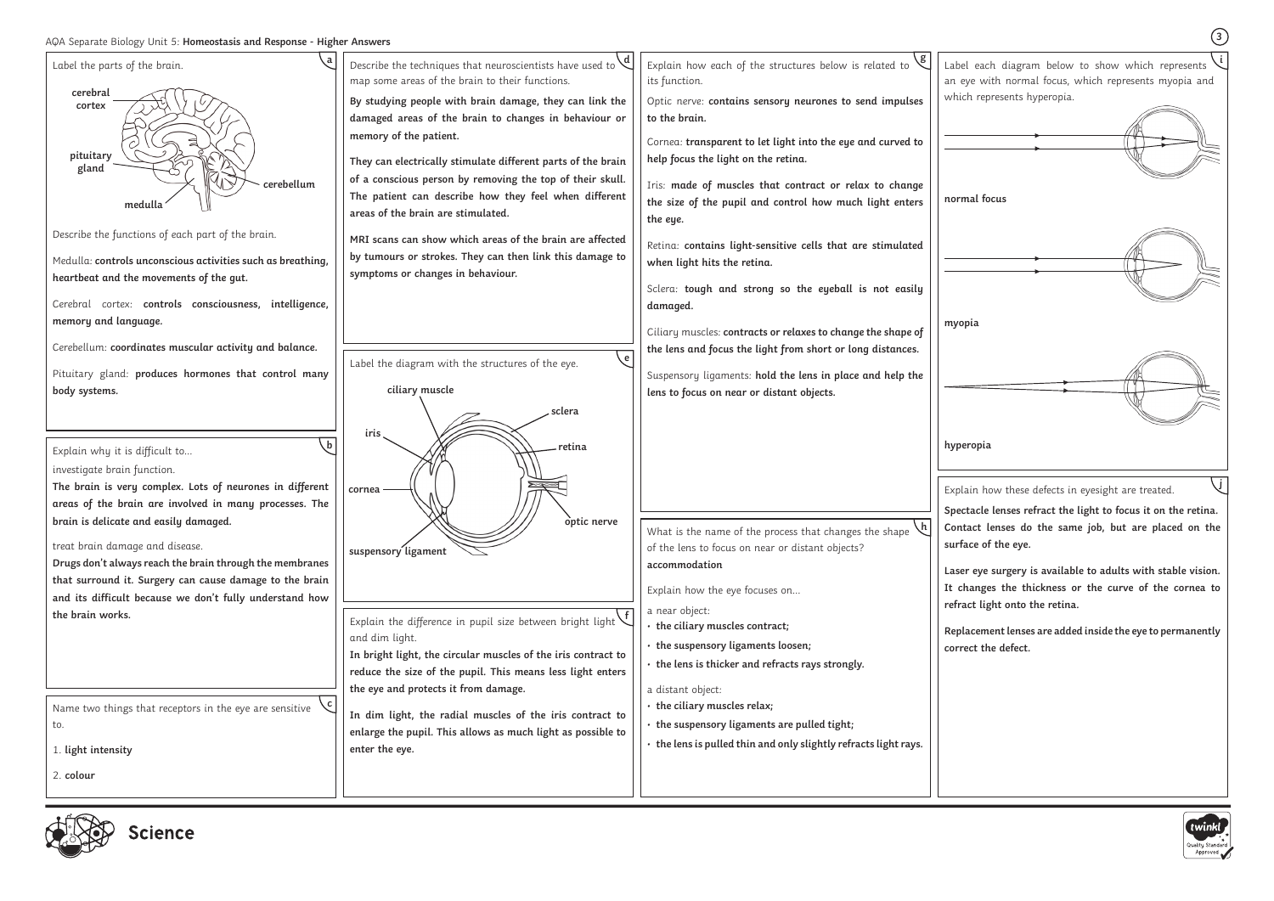**Laser eye surgery is available to adults with stable vision. It changes the thickness or the curve of the cornea to**  fract light onto the retina.



 $x$ plain how these defects in eyesight are treated.

| Label the parts of the brain.                                                                                      | Describe the techniques that neuroscientists have used to<br>map some areas of the brain to their functions.                | g<br>Explain how each of the structures below is related to<br>its function.                                      | La<br>an      |
|--------------------------------------------------------------------------------------------------------------------|-----------------------------------------------------------------------------------------------------------------------------|-------------------------------------------------------------------------------------------------------------------|---------------|
| cerebral<br>cortex                                                                                                 | By studying people with brain damage, they can link the<br>damaged areas of the brain to changes in behaviour or            | Optic nerve: contains sensory neurones to send impulses<br>to the brain.                                          | w             |
|                                                                                                                    | memory of the patient.                                                                                                      | Cornea: transparent to let light into the eye and curved to                                                       |               |
| pituitary<br>gland                                                                                                 | They can electrically stimulate different parts of the brain                                                                | help focus the light on the retina.                                                                               |               |
| cerebellum<br>medull                                                                                               | of a conscious person by removing the top of their skull.<br>The patient can describe how they feel when different          | Iris: made of muscles that contract or relax to change<br>the size of the pupil and control how much light enters | no            |
| Describe the functions of each part of the brain.                                                                  | areas of the brain are stimulated.                                                                                          | the eye.                                                                                                          |               |
| Medulla: controls unconscious activities such as breathing,                                                        | MRI scans can show which areas of the brain are affected<br>by tumours or strokes. They can then link this damage to        | Retina: contains light-sensitive cells that are stimulated<br>when light hits the retina.                         |               |
| heartbeat and the movements of the gut.                                                                            | symptoms or changes in behaviour.                                                                                           | Sclera: tough and strong so the eyeball is not easily                                                             |               |
| Cerebral cortex: controls consciousness, intelligence,                                                             |                                                                                                                             | damaged.                                                                                                          |               |
| memory and language.                                                                                               |                                                                                                                             | Ciliary muscles: contracts or relaxes to change the shape of                                                      | m             |
| Cerebellum: coordinates muscular activity and balance.                                                             | $\epsilon$  <br>Label the diagram with the structures of the eye.                                                           | the lens and focus the light from short or long distances.                                                        |               |
| Pituitary gland: produces hormones that control many<br>body systems.                                              | ciliary muscle                                                                                                              | Suspensory ligaments: hold the lens in place and help the<br>lens to focus on near or distant objects.            |               |
|                                                                                                                    | sclera                                                                                                                      |                                                                                                                   |               |
| Explain why it is difficult to                                                                                     | iris<br>retina                                                                                                              |                                                                                                                   | hy            |
| investigate brain function.                                                                                        |                                                                                                                             |                                                                                                                   |               |
| The brain is very complex. Lots of neurones in different<br>areas of the brain are involved in many processes. The | cornea                                                                                                                      |                                                                                                                   | Ex            |
| brain is delicate and easily damaged.                                                                              | optic nerve                                                                                                                 | What is the name of the process that changes the shape                                                            | Sp            |
| treat brain damage and disease.<br>Drugs don't always reach the brain through the membranes                        | suspensory ligament                                                                                                         | of the lens to focus on near or distant objects?<br>accommodation                                                 | su            |
| that surround it. Surgery can cause damage to the brain                                                            |                                                                                                                             | Explain how the eye focuses on                                                                                    | La<br>It      |
| and its difficult because we don't fully understand how<br>the brain works.                                        |                                                                                                                             | a near object:                                                                                                    | re            |
|                                                                                                                    | Explain the difference in pupil size between bright light<br>and dim light.                                                 | • the ciliary muscles contract;                                                                                   | Re            |
|                                                                                                                    | In bright light, the circular muscles of the iris contract to<br>reduce the size of the pupil. This means less light enters | • the suspensory ligaments loosen;<br>• the lens is thicker and refracts rays strongly.                           | $\mathsf{co}$ |
|                                                                                                                    | the eye and protects it from damage.                                                                                        | a distant object:                                                                                                 |               |
| Name two things that receptors in the eye are sensitive<br>to.                                                     | In dim light, the radial muscles of the iris contract to                                                                    | the ciliary muscles relax;<br>the suspensory ligaments are pulled tight;                                          |               |
| 1. light intensity                                                                                                 | enlarge the pupil. This allows as much light as possible to<br>enter the eye.                                               | • the lens is pulled thin and only slightly refracts light rays.                                                  |               |
| 2. colour                                                                                                          |                                                                                                                             |                                                                                                                   |               |
|                                                                                                                    |                                                                                                                             |                                                                                                                   |               |



**Spectacle lenses refract the light to focus it on the retina. Contact lenses do the same job, but are placed on the surface of the eye.** 

**Replacement lenses are added inside the eye to permanently correct the defect.**